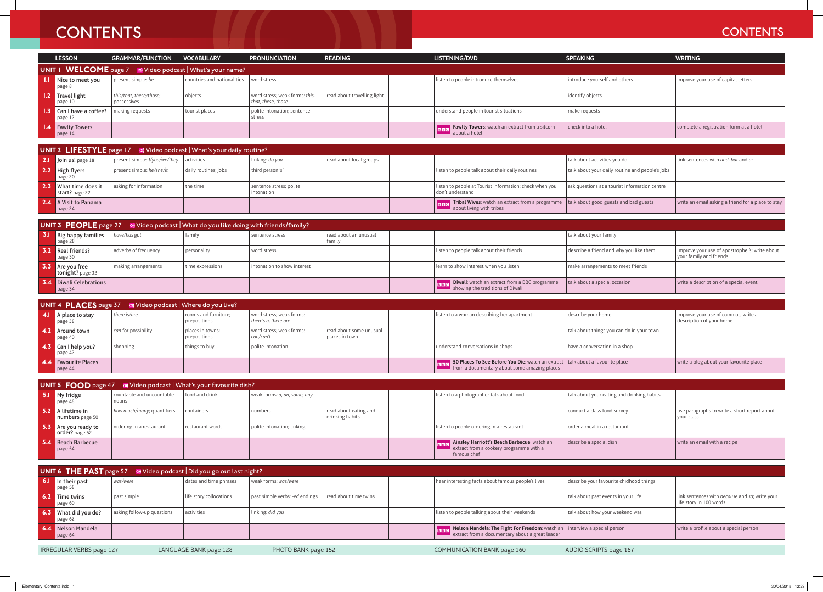## **CONTENTS** CONTENTS

|                                                           | <b>LESSON</b>                                                          | GRAMMAR/FUNCTION VOCABULARY            |                             | <b>PRONUNCIATION</b>                                 | <b>READING</b>              | LISTENING/DVD                                                               | <b>SPEAKING</b>               | <b>WRITING</b>                          |  |  |  |
|-----------------------------------------------------------|------------------------------------------------------------------------|----------------------------------------|-----------------------------|------------------------------------------------------|-----------------------------|-----------------------------------------------------------------------------|-------------------------------|-----------------------------------------|--|--|--|
| UNIT 1 WELCOME page 7 % Video podcast   What's your name? |                                                                        |                                        |                             |                                                      |                             |                                                                             |                               |                                         |  |  |  |
|                                                           | Nice to meet you<br>page 8                                             | present simple: be                     | countries and nationalities | word stress                                          |                             | listen to people introduce themselves                                       | introduce yourself and others | improve your use of capital letters     |  |  |  |
|                                                           | <b>1.2</b> Travel light<br>$\rceil$ page 10                            | this/that, these/those;<br>possessives | objects                     | word stress; weak forms: this,<br>that, these, those | read about travelling light |                                                                             | identify objects              |                                         |  |  |  |
|                                                           | <b>1.3</b> Can I have a coffee?<br>$\vert$ page 12                     | making requests                        | tourist places              | polite intonation; sentence<br>stress                |                             | understand people in tourist situations                                     | make requests                 |                                         |  |  |  |
|                                                           | <b>1.4</b> Fawlty Towers<br>page $14$                                  |                                        |                             |                                                      |                             | <b>FIRIC Fawlty Towers:</b> watch an extract from a sitcom<br>about a hotel | check into a hotel            | complete a registration form at a hotel |  |  |  |
|                                                           |                                                                        |                                        |                             |                                                      |                             |                                                                             |                               |                                         |  |  |  |
|                                                           | UNIT 2 LIFESTYLE page 17 of Video podcast   What's your daily routine? |                                        |                             |                                                      |                             |                                                                             |                               |                                         |  |  |  |

| <b>UNIT 2 LIFESTYLE</b> page $17 \quad \omega$ Video podcast   What's your daily routine? |                                                     |                      |                                       |                         |  |                                                                                                                                   |                                                 |                                                    |  |  |  |
|-------------------------------------------------------------------------------------------|-----------------------------------------------------|----------------------|---------------------------------------|-------------------------|--|-----------------------------------------------------------------------------------------------------------------------------------|-------------------------------------------------|----------------------------------------------------|--|--|--|
| <b>2.1</b> Join us! page $18$                                                             | $ $ present simple: $1/vou/we/$ they $ $ activities |                      | linking: do you                       | read about local groups |  |                                                                                                                                   | talk about activities you do                    | link sentences with and, but and or                |  |  |  |
| <b>2.2</b> High flyers<br>page 20                                                         | present simple: he/she/it                           | daily routines; jobs | third person 's'                      |                         |  | listen to people talk about their daily routines                                                                                  | talk about your daily routine and people's jobs |                                                    |  |  |  |
| <b>2.3</b> What time does it<br>start? page 22                                            | asking for information                              | the time             | sentence stress; polite<br>intonation |                         |  | listen to people at Tourist Information; check when you<br>don't understand                                                       | ask questions at a tourist information centre   |                                                    |  |  |  |
| <b>2.4</b> A Visit to Panama<br>page 24                                                   |                                                     |                      |                                       |                         |  | <b>Final Stribal Wives:</b> watch an extract from a programme   talk about good guests and bad guests<br>about living with tribes |                                                 | write an email asking a friend for a place to stay |  |  |  |

| <b>UNIT 3 PEOPLE</b> page 27 $\bullet$ Video podcast What do you like doing with friends/family? |                                                   |                      |                  |                             |                                 |  |                                                                                                              |                                         |                                                                           |  |  |  |
|--------------------------------------------------------------------------------------------------|---------------------------------------------------|----------------------|------------------|-----------------------------|---------------------------------|--|--------------------------------------------------------------------------------------------------------------|-----------------------------------------|---------------------------------------------------------------------------|--|--|--|
|                                                                                                  | <b>3.1</b> Big happy families<br>page 28          | have/has got         | family           | sentence stress             | read about an unusual<br>family |  |                                                                                                              | talk about your family                  |                                                                           |  |  |  |
|                                                                                                  | <b>3.2</b> Real friends?<br>page 30               | adverbs of frequency | personality      | word stress                 |                                 |  | listen to people talk about their friends                                                                    | describe a friend and why you like them | improve your use of apostrophe 's; write about<br>vour family and friends |  |  |  |
|                                                                                                  | <b>3.3</b> Are you free<br>tonight? page 32       | making arrangements  | time expressions | intonation to show interest |                                 |  | learn to show interest when you listen                                                                       | make arrangements to meet friends       |                                                                           |  |  |  |
|                                                                                                  | <b>3.4</b> Diwali Celebrations<br>$\vert$ page 34 |                      |                  |                             |                                 |  | <b>BIBC</b> Diwali: watch an extract from a BBC programme<br>$\blacksquare$ showing the traditions of Diwali | talk about a special occasion           | write a description of a special event                                    |  |  |  |

| <b>UNIT 4 PLACES</b> page 37 of Video podcast Where do you live? |                                        |                     |                                      |                                                  |                                               |                                                                                                                                                               |                                           |                                                                 |  |  |  |
|------------------------------------------------------------------|----------------------------------------|---------------------|--------------------------------------|--------------------------------------------------|-----------------------------------------------|---------------------------------------------------------------------------------------------------------------------------------------------------------------|-------------------------------------------|-----------------------------------------------------------------|--|--|--|
|                                                                  | <b>4.1</b> A place to stay<br>page 38  | there is/are        | rooms and furniture:<br>prepositions | word stress; weak forms:<br>there's a, there are |                                               | listen to a woman describing her apartment                                                                                                                    | describe your home                        | improve your use of commas; write a<br>description of your home |  |  |  |
|                                                                  | <b>4.2</b> Around town<br>page 40      | can for possibility | places in towns;<br>prepositions     | word stress; weak forms:<br>can/can't            | l read about some unusual<br>I places in town |                                                                                                                                                               | talk about things you can do in your town |                                                                 |  |  |  |
|                                                                  | 4.3 Can I help you?<br>, page 42       | shopping            | things to buy                        | l polite intonation                              |                                               | understand conversations in shops                                                                                                                             | have a conversation in a shop             |                                                                 |  |  |  |
|                                                                  | <b>4.4</b> Favourite Places<br>page 44 |                     |                                      |                                                  |                                               | <b>Follow 50 Places To See Before You Die:</b> watch an extract   talk about a favourite place<br>$\blacksquare$ from a documentary about some amazing places |                                           | write a blog about your favourite place                         |  |  |  |

| UNIT 5 FOOD page 47 %) Video podcast   What's your favourite dish? |                                    |                  |                              |                                          |  |                                                                                                                                 |                                            |                                                            |  |  |  |
|--------------------------------------------------------------------|------------------------------------|------------------|------------------------------|------------------------------------------|--|---------------------------------------------------------------------------------------------------------------------------------|--------------------------------------------|------------------------------------------------------------|--|--|--|
| <b>5.1</b> My fridge<br>page 48                                    | countable and uncountable<br>nouns | food and drink   | weak forms: a, an, some, any |                                          |  | listen to a photographer talk about food                                                                                        | talk about your eating and drinking habits |                                                            |  |  |  |
| 5.2 A lifetime in<br>numbers page 50                               | how much/many; quantifiers         | containers       | numbers                      | read about eating and<br>drinking habits |  |                                                                                                                                 | conduct a class food survey                | use paragraphs to write a short report about<br>your class |  |  |  |
| <b>5.3</b> Are you ready to<br>order? page 52                      | ordering in a restaurant           | restaurant words | polite intonation; linking   |                                          |  | listen to people ordering in a restaurant                                                                                       | order a meal in a restaurant               |                                                            |  |  |  |
| 5.4 Beach Barbecue<br>page $54$                                    |                                    |                  |                              |                                          |  | <b>BBC</b> Ainsley Harriott's Beach Barbecue: watch an<br>$\blacksquare$ extract from a cookery programme with a<br>famous chef | describe a special dish                    | write an email with a recipe                               |  |  |  |

| <b>UNIT 6 THE PAST</b> page 57 % Video podcast Did you go out last night? |                                              |                            |                         |                                |                       |  |                                                                                                                                                            |                                         |                                                                           |  |  |
|---------------------------------------------------------------------------|----------------------------------------------|----------------------------|-------------------------|--------------------------------|-----------------------|--|------------------------------------------------------------------------------------------------------------------------------------------------------------|-----------------------------------------|---------------------------------------------------------------------------|--|--|
|                                                                           | 6.1 In their past<br>page 58                 | was/were                   | dates and time phrases  | weak forms: was/were           |                       |  | hear interesting facts about famous people's lives                                                                                                         | describe your favourite chidhood things |                                                                           |  |  |
|                                                                           | <b>6.2</b> Time twins<br>page 60             | past simple                | life story collocations | past simple verbs: -ed endings | read about time twins |  |                                                                                                                                                            | talk about past events in your life     | link sentences with because and so; write your<br>life story in 100 words |  |  |
|                                                                           | 6.3 What did you do?<br>page 62              | asking follow-up questions | activities              | linking: did you               |                       |  | listen to people talking about their weekends                                                                                                              | talk about how your weekend was         |                                                                           |  |  |
|                                                                           | <b>6.4</b> Nelson Mandela<br>$\vert$ page 64 |                            |                         |                                |                       |  | <b>FRING</b> Nelson Mandela: The Fight For Freedom: watch an  interview a special person<br>$\blacksquare$ extract from a documentary about a great leader |                                         | write a profile about a special person                                    |  |  |

IRREGULAR VERBS page 127 LANGUAGE BANK page 128 PHOTO BANK page 152 COMMUNICATION BANK page 160 AUDIO SCRIPTS page 167